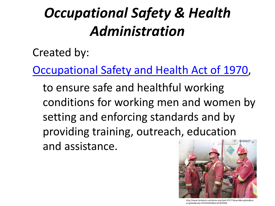# *Occupational Safety & Health Administration*

Created by:

[Occupational Safety and Health Act of 1970,](http://osha.gov/pls/oshaweb/owasrch.search_form?p_doc_type=OSHACT&p_toc_level=0&p_keyvalue=)

to ensure safe and healthful working conditions for working men and women by setting and enforcing standards and by providing training, outreach, education and assistance.



http://www.facebook.com/photo.php?pid=375771&op=8&o=global&vie w=global&subj=2353452823&id=613870500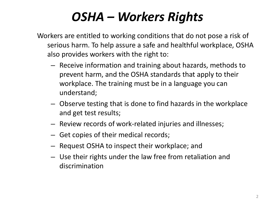## *OSHA – Workers Rights*

Workers are entitled to working conditions that do not pose a risk of serious harm. To help assure a safe and healthful workplace, OSHA also provides workers with the right to:

- Receive information and training about hazards, methods to prevent harm, and the OSHA standards that apply to their workplace. The training must be in a language you can understand;
- Observe testing that is done to find hazards in the workplace and get test results;
- Review records of work-related injuries and illnesses;
- Get copies of their medical records;
- Request OSHA to inspect their workplace; and
- Use their rights under the law free from retaliation and discrimination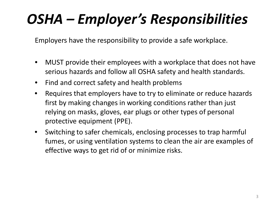# *OSHA – Employer's Responsibilities*

Employers have the responsibility to provide a safe workplace.

- MUST provide their employees with a workplace that does not have serious hazards and follow all OSHA safety and health standards.
- Find and correct safety and health problems
- Requires that employers have to try to eliminate or reduce hazards first by making changes in working conditions rather than just relying on masks, gloves, ear plugs or other types of personal protective equipment (PPE).
- Switching to safer chemicals, enclosing processes to trap harmful fumes, or using ventilation systems to clean the air are examples of effective ways to get rid of or minimize risks.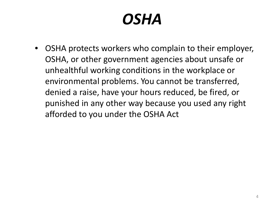# *OSHA*

• OSHA protects workers who complain to their employer, OSHA, or other government agencies about unsafe or unhealthful working conditions in the workplace or environmental problems. You cannot be transferred, denied a raise, have your hours reduced, be fired, or punished in any other way because you used any right afforded to you under the OSHA Act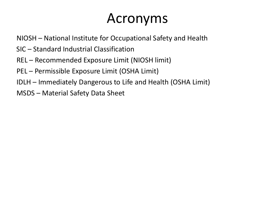## Acronyms

NIOSH – National Institute for Occupational Safety and Health

- SIC Standard Industrial Classification
- REL Recommended Exposure Limit (NIOSH limit)
- PEL Permissible Exposure Limit (OSHA Limit)
- IDLH Immediately Dangerous to Life and Health (OSHA Limit)
- MSDS Material Safety Data Sheet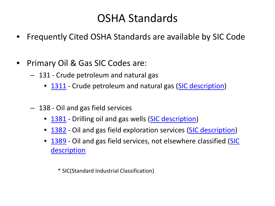### OSHA Standards

- Frequently Cited OSHA Standards are available by SIC Code
- Primary Oil & Gas SIC Codes are:
	- 131 Crude petroleum and natural gas
		- [1311](http://www.osha.gov/pls/imis/citedstandard.sic?p_sic=1311&p_esize=&p_state=FEFederal) Crude petroleum and natural gas ([SIC description](http://www.osha.gov/pls/imis/sic_manual.display?id=387&tab=description))
	- 138 Oil and gas field services
		- [1381](http://www.osha.gov/pls/imis/citedstandard.sic?p_esize=&p_state=FEFederal&p_sic=1381) Drilling oil and gas wells [\(SIC description\)](http://www.osha.gov/pls/imis/sic_manual.display?id=389&tab=description)
		- [1382](http://www.osha.gov/pls/imis/citedstandard.sic?p_esize=&p_state=FEFederal&p_sic=1382) Oil and gas field exploration services ([SIC description](http://www.osha.gov/pls/imis/sic_manual.display?id=390&tab=description))
		- [1389](http://www.osha.gov/pls/imis/citedstandard.sic?p_esize=&p_state=FEFederal&p_sic=1389) Oil and gas field services, not elsewhere classified (SIC [description](http://www.osha.gov/pls/imis/sic_manual.display?id=391&tab=description)

\* SIC(Standard Industrial Classification)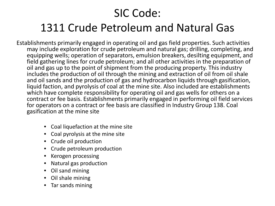### SIC Code:

### 1311 Crude Petroleum and Natural Gas

Establishments primarily engaged in operating oil and gas field properties. Such activities may include exploration for crude petroleum and natural gas; drilling, completing, and equipping wells; operation of separators, emulsion breakers, desilting equipment, and field gathering lines for crude petroleum; and all other activities in the preparation of oil and gas up to the point of shipment from the producing property. This industry includes the production of oil through the mining and extraction of oil from oil shale and oil sands and the production of gas and hydrocarbon liquids through gasification, liquid faction, and pyrolysis of coal at the mine site. Also included are establishments which have complete responsibility for operating oil and gas wells for others on a contract or fee basis. Establishments primarily engaged in performing oil field services for operators on a contract or fee basis are classified in Industry Group 138. Coal gasification at the mine site

- Coal liquefaction at the mine site
- Coal pyrolysis at the mine site
- Crude oil production
- Crude petroleum production
- Kerogen processing
- Natural gas production
- Oil sand mining
- Oil shale mining
- Tar sands mining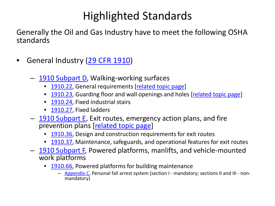Generally the Oil and Gas Industry have to meet the following OSHA standards

- General Industry [\(29 CFR 1910](http://www.osha.gov/pls/oshaweb/owastand.display_standard_group?p_toc_level=1&p_part_number=1910))
	- [1910 Subpart D](http://www.osha.gov/pls/oshaweb/owastand.display_standard_group?p_toc_level=1&p_part_number=1910), Walking-working surfaces
		- [1910.22](http://www.osha.gov/pls/oshaweb/owadisp.show_document?p_table=STANDARDS&p_id=9714), General requirements [[related topic page\]](http://www.osha.gov/SLTC/walkingworkingsurfaces/index.html)
		- [1910.23](http://www.osha.gov/pls/oshaweb/owadisp.show_document?p_table=STANDARDS&p_id=9715), Guarding floor and wall openings and holes [[related topic page\]](http://www.osha.gov/SLTC/fallprotection/index.html)
		- [1910.24](http://www.osha.gov/pls/oshaweb/owadisp.show_document?p_table=STANDARDS&p_id=9716), Fixed industrial stairs
		- [1910.27](http://www.osha.gov/pls/oshaweb/owadisp.show_document?p_table=STANDARDS&p_id=9719), Fixed ladders
	- [1910 Subpart E](http://www.osha.gov/pls/oshaweb/owastand.display_standard_group?p_toc_level=1&p_part_number=1910), Exit routes, emergency action plans, and fire prevention plans [[related topic page\]](http://www.osha.gov/SLTC/emergencypreparedness/index.html)
		- [1910.36](http://www.osha.gov/pls/oshaweb/owadisp.show_document?p_table=STANDARDS&p_id=9724), Design and construction requirements for exit routes
		- [1910.37](http://www.osha.gov/pls/oshaweb/owadisp.show_document?p_table=STANDARDS&p_id=9725), Maintenance, safeguards, and operational features for exit routes
	- [1910 Subpart F,](http://www.osha.gov/pls/oshaweb/owastand.display_standard_group?p_toc_level=1&p_part_number=1910) Powered platforms, manlifts, and vehicle-mounted work platforms
		- [1910.66](http://www.osha.gov/pls/oshaweb/owadisp.show_document?p_table=STANDARDS&p_id=9727), Powered platforms for building maintenance
			- [Appendix C,](http://www.osha.gov/pls/oshaweb/owadisp.show_document?p_table=STANDARDS&p_id=9730) Personal fall arrest system (section I mandatory; sections II and III non- mandatory)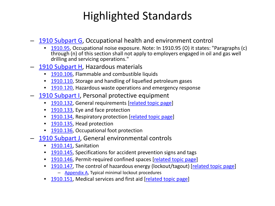- [1910 Subpart G,](http://www.osha.gov/pls/oshaweb/owastand.display_standard_group?p_toc_level=1&p_part_number=1910) Occupational health and environment control
	- [1910.95](http://www.osha.gov/pls/oshaweb/owadisp.show_document?p_table=STANDARDS&p_id=9735), Occupational noise exposure. Note: In 1910.95 (O) it states: "Paragraphs (c) through (n) of this section shall not apply to employers engaged in oil and gas well drilling and servicing operations."
- [1910 Subpart H](http://www.osha.gov/pls/oshaweb/owastand.display_standard_group?p_toc_level=1&p_part_number=1910), Hazardous materials
	- [1910.106,](http://www.osha.gov/pls/oshaweb/owadisp.show_document?p_table=STANDARDS&p_id=9752) Flammable and combustible liquids
	- [1910.110,](http://www.osha.gov/pls/oshaweb/owadisp.show_document?p_table=STANDARDS&p_id=9756) Storage and handling of liquefied petroleum gases
	- [1910.120,](http://www.osha.gov/pls/oshaweb/owadisp.show_document?p_table=STANDARDS&p_id=9765) Hazardous waste operations and emergency response
- [1910 Subpart I,](http://www.osha.gov/pls/oshaweb/owastand.display_standard_group?p_toc_level=1&p_part_number=1910) Personal protective equipment
	- [1910.132,](http://www.osha.gov/pls/oshaweb/owadisp.show_document?p_table=STANDARDS&p_id=9777) General requirements [\[related topic page](http://www.osha.gov/SLTC/personalprotectiveequipment/index.html)]
	- [1910.133,](http://www.osha.gov/pls/oshaweb/owadisp.show_document?p_table=STANDARDS&p_id=9778) Eye and face protection
	- [1910.134,](http://www.osha.gov/pls/oshaweb/owadisp.show_document?p_table=STANDARDS&p_id=12716) Respiratory protection [[related topic page\]](http://www.osha.gov/SLTC/respiratoryprotection/index.html)
	- [1910.135,](http://www.osha.gov/pls/oshaweb/owadisp.show_document?p_table=STANDARDS&p_id=9785) Head protection
	- [1910.136,](http://www.osha.gov/pls/oshaweb/owadisp.show_document?p_table=STANDARDS&p_id=9786) Occupational foot protection
- [1910 Subpart J,](http://www.osha.gov/pls/oshaweb/owastand.display_standard_group?p_toc_level=1&p_part_number=1910) General environmental controls
	- [1910.141,](http://www.osha.gov/pls/oshaweb/owadisp.show_document?p_table=STANDARDS&p_id=9790) Sanitation
	- [1910.145,](http://www.osha.gov/pls/oshaweb/owadisp.show_document?p_table=STANDARDS&p_id=9794) Specifications for accident prevention signs and tags
	- [1910.146,](http://www.osha.gov/pls/oshaweb/owadisp.show_document?p_table=STANDARDS&p_id=9797) Permit-required confined spaces [[related topic page\]](http://www.osha.gov/SLTC/confinedspaces/index.html)
	- [1910.147,](http://www.osha.gov/pls/oshaweb/owadisp.show_document?p_table=STANDARDS&p_id=9804) The control of hazardous energy (lockout/tagout) [[related topic page\]](http://www.osha.gov/SLTC/controlhazardousenergy/index.html) – [Appendix A,](http://www.osha.gov/pls/oshaweb/owadisp.show_document?p_table=STANDARDS&p_id=9805) Typical minimal lockout procedures
	- [1910.151,](http://www.osha.gov/pls/oshaweb/owadisp.show_document?p_table=STANDARDS&p_id=9806) Medical services and first aid [\[related topic page\]](http://www.osha.gov/SLTC/medicalfirstaid/index.html)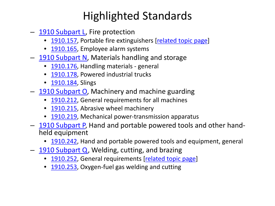- [1910 Subpart L,](http://www.osha.gov/pls/oshaweb/owastand.display_standard_group?p_toc_level=1&p_part_number=1910) Fire protection
	- [1910.157,](http://www.osha.gov/pls/oshaweb/owadisp.show_document?p_table=STANDARDS&p_id=9811) Portable fire extinguishers [\[related topic page](http://www.osha.gov/SLTC/firesafety/index.html)]
	- [1910.165,](http://www.osha.gov/pls/oshaweb/owadisp.show_document?p_table=STANDARDS&p_id=9819) Employee alarm systems
- [1910 Subpart N](http://www.osha.gov/pls/oshaweb/owastand.display_standard_group?p_toc_level=1&p_part_number=1910), Materials handling and storage
	- [1910.176,](http://www.osha.gov/pls/oshaweb/owadisp.show_document?p_table=STANDARDS&p_id=9824) Handling materials general
	- [1910.178,](http://www.osha.gov/pls/oshaweb/owadisp.show_document?p_table=STANDARDS&p_id=9828) Powered industrial trucks
	- [1910.184,](http://www.osha.gov/pls/oshaweb/owadisp.show_document?p_table=STANDARDS&p_id=9834) Slings
- [1910 Subpart O](http://www.osha.gov/pls/oshaweb/owastand.display_standard_group?p_toc_level=1&p_part_number=1910), Machinery and machine guarding
	- [1910.212,](http://www.osha.gov/pls/oshaweb/owadisp.show_document?p_table=STANDARDS&p_id=9836) General requirements for all machines
	- [1910.215,](http://www.osha.gov/pls/oshaweb/owadisp.show_document?p_table=STANDARDS&p_id=9839) Abrasive wheel machinery
	- [1910.219,](http://www.osha.gov/pls/oshaweb/owadisp.show_document?p_table=STANDARDS&p_id=9847) Mechanical power-transmission apparatus
- [1910 Subpart P](http://www.osha.gov/pls/oshaweb/owastand.display_standard_group?p_toc_level=1&p_part_number=1910), Hand and portable powered tools and other hand-<br>held equipment
	- [1910.242,](http://www.osha.gov/pls/oshaweb/owadisp.show_document?p_table=STANDARDS&p_id=9849) Hand and portable powered tools and equipment, general
- [1910 Subpart Q,](http://www.osha.gov/pls/oshaweb/owastand.display_standard_group?p_toc_level=1&p_part_number=1910) Welding, cutting, and brazing
	- [1910.252,](http://www.osha.gov/pls/oshaweb/owadisp.show_document?p_table=STANDARDS&p_id=9853) General requirements [\[related topic page\]](http://www.osha.gov/SLTC/weldingcuttingbrazing/index.html)
	- [1910.253,](http://www.osha.gov/pls/oshaweb/owadisp.show_document?p_table=STANDARDS&p_id=9854) Oxygen-fuel gas welding and cutting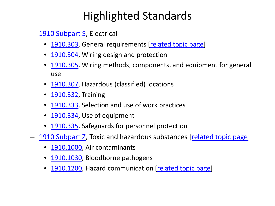- [1910 Subpart S,](http://www.osha.gov/pls/oshaweb/owastand.display_standard_group?p_toc_level=1&p_part_number=1910) Electrical
	- [1910.303](http://www.osha.gov/pls/oshaweb/owadisp.show_document?p_table=STANDARDS&p_id=9880), General requirements [[related topic page](http://www.osha.gov/SLTC/electrical/index.html)]
	- [1910.304](http://www.osha.gov/pls/oshaweb/owadisp.show_document?p_table=STANDARDS&p_id=9881), Wiring design and protection
	- [1910.305](http://www.osha.gov/pls/oshaweb/owadisp.show_document?p_table=STANDARDS&p_id=9882), Wiring methods, components, and equipment for general use
	- [1910.307](http://www.osha.gov/pls/oshaweb/owadisp.show_document?p_table=STANDARDS&p_id=9884), Hazardous (classified) locations
	- [1910.332](http://www.osha.gov/pls/oshaweb/owadisp.show_document?p_table=STANDARDS&p_id=9909), Training
	- [1910.333](http://www.osha.gov/pls/oshaweb/owadisp.show_document?p_table=STANDARDS&p_id=9910), Selection and use of work practices
	- [1910.334](http://www.osha.gov/pls/oshaweb/owadisp.show_document?p_table=STANDARDS&p_id=9911), Use of equipment
	- [1910.335](http://www.osha.gov/pls/oshaweb/owadisp.show_document?p_table=STANDARDS&p_id=9912), Safeguards for personnel protection
- [1910 Subpart Z,](http://www.osha.gov/pls/oshaweb/owastand.display_standard_group?p_toc_level=1&p_part_number=1910) Toxic and hazardous substances [[related topic page\]](http://www.osha.gov/SLTC/hazardoustoxicsubstances/index.html)
	- [1910.1000,](http://www.osha.gov/pls/oshaweb/owadisp.show_document?p_table=STANDARDS&p_id=9991) Air contaminants
	- [1910.1030,](http://www.osha.gov/pls/oshaweb/owadisp.show_document?p_table=STANDARDS&p_id=10051) Bloodborne pathogens
	- [1910.1200,](http://www.osha.gov/pls/oshaweb/owadisp.show_document?p_table=STANDARDS&p_id=10099) Hazard communication [[related topic page](http://www.osha.gov/dsg/hazcom/index.html)]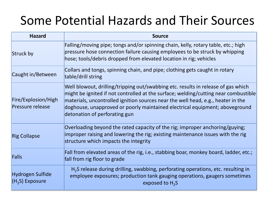### Some Potential Hazards and Their Sources

| <b>Hazard</b>                           | <b>Source</b>                                                                                                                                                                                                                                                                                                                                                                |  |  |
|-----------------------------------------|------------------------------------------------------------------------------------------------------------------------------------------------------------------------------------------------------------------------------------------------------------------------------------------------------------------------------------------------------------------------------|--|--|
| Struck by                               | Falling/moving pipe; tongs and/or spinning chain, kelly, rotary table, etc.; high<br>pressure hose connection failure causing employees to be struck by whipping<br>hose; tools/debris dropped from elevated location in rig; vehicles                                                                                                                                       |  |  |
| Caught in/Between                       | Collars and tongs, spinning chain, and pipe; clothing gets caught in rotary<br>table/drill string                                                                                                                                                                                                                                                                            |  |  |
| Fire/Explosion/High<br>Pressure release | Well blowout, drilling/tripping out/swabbing etc. results in release of gas which<br>might be ignited if not controlled at the surface; welding/cutting near combustible<br>materials, uncontrolled ignition sources near the well head, e.g., heater in the<br>doghouse, unapproved or poorly maintained electrical equipment; aboveground<br>detonation of perforating gun |  |  |
| <b>Rig Collapse</b>                     | Overloading beyond the rated capacity of the rig; improper anchoring/guying;<br>improper raising and lowering the rig; existing maintenance issues with the rig<br>structure which impacts the integrity                                                                                                                                                                     |  |  |
| Falls                                   | Fall from elevated areas of the rig, i.e., stabbing boar, monkey board, ladder, etc.;<br>fall from rig floor to grade                                                                                                                                                                                                                                                        |  |  |
| Hydrogen Sulfide<br>$(H2S)$ Exposure    | H <sub>2</sub> S release during drilling, swabbing, perforating operations, etc. resulting in<br>employee exposures; production tank gauging operations, gaugers sometimes<br>exposed to $H_2S$                                                                                                                                                                              |  |  |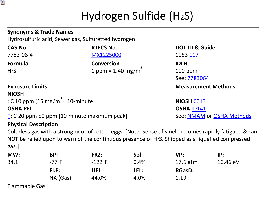

## Hydrogen Sulfide (H2S)

| <b>Synonyms &amp; Trade Names</b>              | Hydrosulfuric acid, Sewer gas, Sulfuretted hydrogen  |                            |  |
|------------------------------------------------|------------------------------------------------------|----------------------------|--|
| <b>CAS No.</b>                                 | <b>RTECS No.</b>                                     | <b>DOT ID &amp; Guide</b>  |  |
| 7783-06-4                                      | MX1225000                                            | 1053 117                   |  |
| Formula                                        | Conversion                                           | <b>IDLH</b>                |  |
| H <sub>2</sub> S                               | 1 ppm = 1.40 mg/m <sup>3</sup>                       | $ 100$ ppm                 |  |
|                                                |                                                      | See: 7783064               |  |
| <b>Exposure Limits</b>                         |                                                      | <b>Measurement Methods</b> |  |
| <b>NIOSH</b>                                   |                                                      |                            |  |
| : C 10 ppm (15 mg/m <sup>3</sup> ) [10-minute] |                                                      | NIOSH 6013;                |  |
| <b>OSHA PEL</b>                                |                                                      | <b>OSHA ID141</b>          |  |
|                                                | $\dagger$ : C 20 ppm 50 ppm [10-minute maximum peak] | See: NMAM or OSHA Methods  |  |

#### **Physical Description**

Colorless gas with a strong odor of rotten eggs. [Note: Sense of smell becomes rapidly fatigued & can NOT be relied upon to warn of the continuous presence of H2S. Shipped as a liquefied compressed gas.]

| MW:           | BP:             | <b>FRZ:</b> | Sol:     | <b>NP:</b>     | IP:      |
|---------------|-----------------|-------------|----------|----------------|----------|
| 34.1          | $-77^{\circ}$ F | $-122$ °F   | $ 0.4\%$ | $ 17.6$ atm    | 10.46 eV |
|               | FL.P:           | UEL:        | LEL:     | <b>RGasD:</b>  |          |
|               | $NA$ (Gas)      | 44.0%       | $ 4.0\%$ | $ 1.19\rangle$ |          |
| Flammable Gas |                 |             |          |                |          |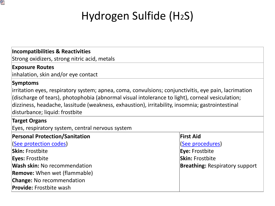

## Hydrogen Sulfide (H2S)

#### **Incompatibilities & Reactivities**

Strong oxidizers, strong nitric acid, metals

#### **Exposure Routes**

inhalation, skin and/or eye contact

#### **Symptoms**

irritation eyes, respiratory system; apnea, coma, convulsions; conjunctivitis, eye pain, lacrimation (discharge of tears), photophobia (abnormal visual intolerance to light), corneal vesiculation; dizziness, headache, lassitude (weakness, exhaustion), irritability, insomnia; gastrointestinal disturbance; liquid: frostbite

#### **Target Organs**

Eyes, respiratory system, central nervous system

| <b>Personal Protection/Sanitation</b> | <b>First Aid</b>                      |
|---------------------------------------|---------------------------------------|
| (See protection codes)                | (See procedures)                      |
| <b>Skin: Frostbite</b>                | <b>Eye: Frostbite</b>                 |
| <b>Eyes: Frostbite</b>                | <b>Skin: Frostbite</b>                |
| <b>Wash skin: No recommendation</b>   | <b>Breathing: Respiratory support</b> |
| <b>Remove:</b> When wet (flammable)   |                                       |
| <b>Change: No recommendation</b>      |                                       |
| <b>Provide:</b> Frostbite wash        |                                       |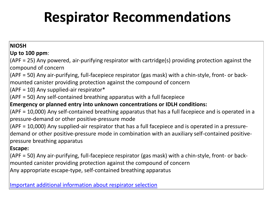# **Respirator Recommendations**

#### **NIOSH**

#### **Up to 100 ppm**:

(APF = 25) Any powered, air-purifying respirator with cartridge(s) providing protection against the compound of concern

(APF = 50) Any air-purifying, full-facepiece respirator (gas mask) with a chin-style, front- or backmounted canister providing protection against the compound of concern

 $(APF = 10)$  Any supplied-air respirator\*

(APF = 50) Any self-contained breathing apparatus with a full facepiece

#### **Emergency or planned entry into unknown concentrations or IDLH conditions:**

(APF = 10,000) Any self-contained breathing apparatus that has a full facepiece and is operated in a pressure-demand or other positive-pressure mode

(APF = 10,000) Any supplied-air respirator that has a full facepiece and is operated in a pressuredemand or other positive-pressure mode in combination with an auxiliary self-contained positivepressure breathing apparatus

#### **Escape:**

(APF = 50) Any air-purifying, full-facepiece respirator (gas mask) with a chin-style, front- or backmounted canister providing protection against the compound of concern Any appropriate escape-type, self-contained breathing apparatus

[Important additional information about respirator selection](http://www.cdc.gov/niosh/npg/pgintrod.html)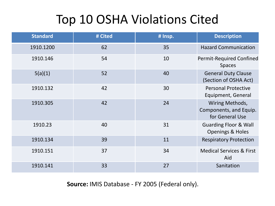## Top 10 OSHA Violations Cited

| <b>Standard</b> | # Cited | # Insp. | <b>Description</b>                                              |
|-----------------|---------|---------|-----------------------------------------------------------------|
| 1910.1200       | 62      | 35      | <b>Hazard Communication</b>                                     |
| 1910.146        | 54      | 10      | <b>Permit-Required Confined</b><br><b>Spaces</b>                |
| 5(a)(1)         | 52      | 40      | <b>General Duty Clause</b><br>(Section of OSHA Act)             |
| 1910.132        | 42      | 30      | <b>Personal Protective</b><br>Equipment, General                |
| 1910.305        | 42      | 24      | Wiring Methods,<br>Components, and Equip.<br>for General Use    |
| 1910.23         | 40      | 31      | <b>Guarding Floor &amp; Wall</b><br><b>Openings &amp; Holes</b> |
| 1910.134        | 39      | 11      | <b>Respiratory Protection</b>                                   |
| 1910.151        | 37      | 34      | <b>Medical Services &amp; First</b><br>Aid                      |
| 1910.141        | 33      | 27      | Sanitation                                                      |

**Source:** IMIS Database - FY 2005 (Federal only).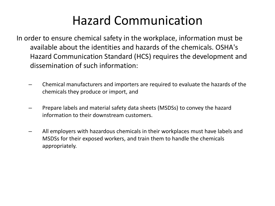### Hazard Communication

- In order to ensure chemical safety in the workplace, information must be available about the identities and hazards of the chemicals. OSHA's Hazard Communication Standard (HCS) requires the development and dissemination of such information:
	- Chemical manufacturers and importers are required to evaluate the hazards of the chemicals they produce or import, and
	- Prepare labels and material safety data sheets (MSDSs) to convey the hazard information to their downstream customers.
	- All employers with hazardous chemicals in their workplaces must have labels and MSDSs for their exposed workers, and train them to handle the chemicals appropriately.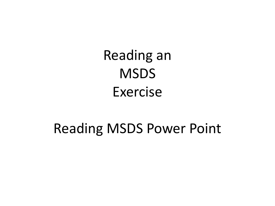Reading an **MSDS** Exercise

## Reading MSDS Power Point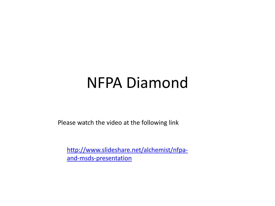# NFPA Diamond

Please watch the video at the following link

[http://www.slideshare.net/alchemist/nfpa](http://www.slideshare.net/alchemist/nfpa-and-msds-presentation)[and-msds-presentation](http://www.slideshare.net/alchemist/nfpa-and-msds-presentation)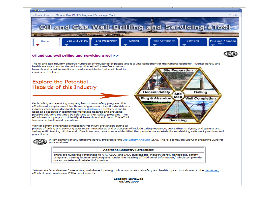

**Content Reviewed** 05/20/2009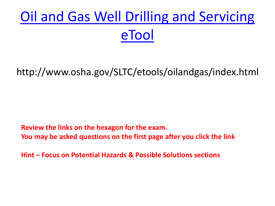# [Oil and Gas Well Drilling and Servicing](http://www.osha.gov/SLTC/etools/oilandgas/index.html)  [eTool](http://www.osha.gov/SLTC/etools/oilandgas/index.html)

http://www.osha.gov/SLTC/etools/oilandgas/index.html

**Review the links on the hexagon for the exam. You may be asked questions on the first page after you click the link**

**Hint – Focus on Potential Hazards & Possible Solutions sections**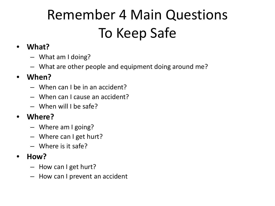# Remember 4 Main Questions To Keep Safe

### • **What?**

- What am I doing?
- What are other people and equipment doing around me?

### • **When?**

- When can I be in an accident?
- When can I cause an accident?
- When will I be safe?

### • **Where?**

- Where am I going?
- Where can I get hurt?
- Where is it safe?

### • **How?**

- How can I get hurt?
- How can I prevent an accident